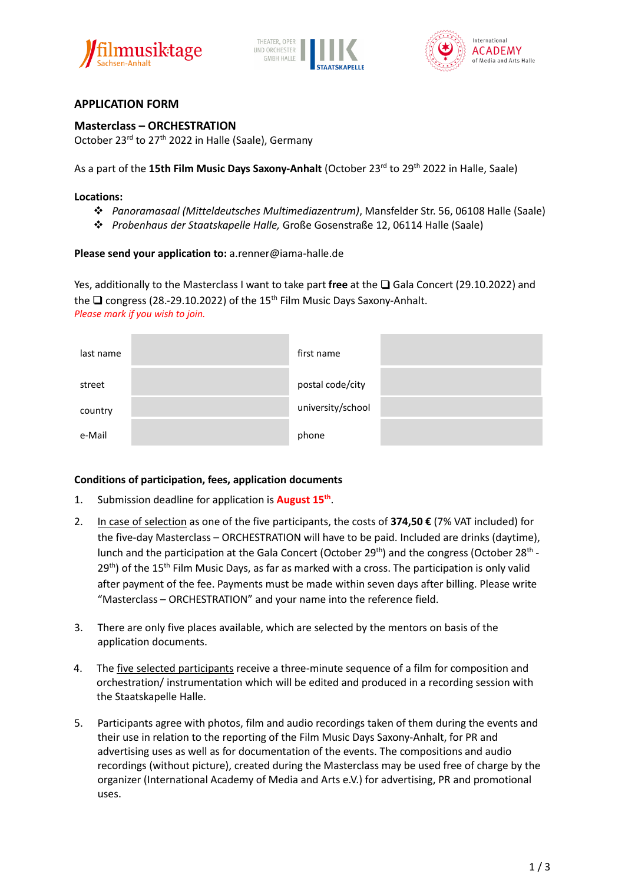





# **APPLICATION FORM**

**Masterclass – ORCHESTRATION** October 23<sup>rd</sup> to 27<sup>th</sup> 2022 in Halle (Saale), Germany

As a part of the **15th Film Music Days Saxony-Anhalt** (October 23<sup>rd</sup> to 29<sup>th</sup> 2022 in Halle, Saale)

#### **Locations:**

- *Panoramasaal (Mitteldeutsches Multimediazentrum)*, Mansfelder Str. 56, 06108 Halle (Saale)
- *Probenhaus der Staatskapelle Halle,* Große Gosenstraße 12, 06114 Halle (Saale)

### **Please send your application to:** a.renner@iama-halle.de

Yes, additionally to the Masterclass I want to take part **free** at the ❏ Gala Concert (29.10.2022) and the  $\Box$  congress (28.-29.10.2022) of the 15<sup>th</sup> Film Music Days Saxony-Anhalt. *Please mark if you wish to join.*

| last name | first name        |  |
|-----------|-------------------|--|
| street    | postal code/city  |  |
| country   | university/school |  |
| e-Mail    | phone             |  |

#### **Conditions of participation, fees, application documents**

- 1. Submission deadline for application is **August 15th** .
- 2. In case of selection as one of the five participants, the costs of **374,50 €** (7% VAT included) for the five-day Masterclass – ORCHESTRATION will have to be paid. Included are drinks (daytime), lunch and the participation at the Gala Concert (October 29<sup>th</sup>) and the congress (October 28<sup>th</sup> - $29<sup>th</sup>$ ) of the 15<sup>th</sup> Film Music Days, as far as marked with a cross. The participation is only valid after payment of the fee. Payments must be made within seven days after billing. Please write "Masterclass – ORCHESTRATION" and your name into the reference field.
- 3. There are only five places available, which are selected by the mentors on basis of the application documents.
- 4. The five selected participants receive a three-minute sequence of a film for composition and orchestration/ instrumentation which will be edited and produced in a recording session with the Staatskapelle Halle.
- 5. Participants agree with photos, film and audio recordings taken of them during the events and their use in relation to the reporting of the Film Music Days Saxony-Anhalt, for PR and advertising uses as well as for documentation of the events. The compositions and audio recordings (without picture), created during the Masterclass may be used free of charge by the organizer (International Academy of Media and Arts e.V.) for advertising, PR and promotional uses.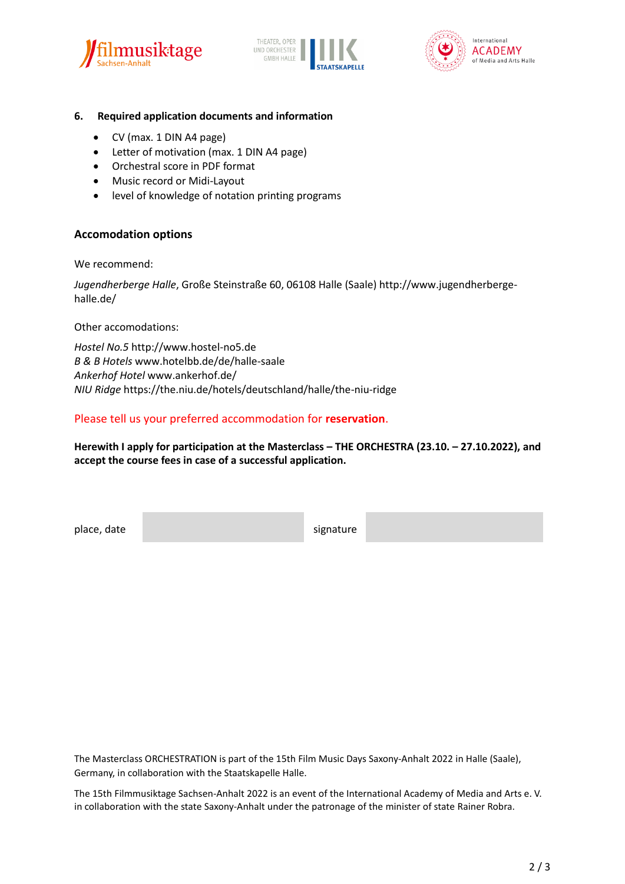





#### **6. Required application documents and information**

- CV (max. 1 DIN A4 page)
- Letter of motivation (max. 1 DIN A4 page)
- Orchestral score in PDF format
- Music record or Midi-Layout
- level of knowledge of notation printing programs

## **Accomodation options**

We recommend:

*Jugendherberge Halle*, Große Steinstraße 60, 06108 Halle (Saale) http://www.jugendherbergehalle.de/

Other accomodations:

*Hostel No.5* http://www.hostel-no5.de *B & B Hotels* www.hotelbb.de/de/halle-saale *Ankerhof Hotel* www.ankerhof.de/ *NIU Ridge* https://the.niu.de/hotels/deutschland/halle/the-niu-ridge

## Please tell us your preferred accommodation for **reservation**.

**Herewith I apply for participation at the Masterclass – THE ORCHESTRA (23.10. – 27.10.2022), and accept the course fees in case of a successful application.**

place, date signature signature

The Masterclass ORCHESTRATION is part of the 15th Film Music Days Saxony-Anhalt 2022 in Halle (Saale), Germany, in collaboration with the Staatskapelle Halle.

The 15th Filmmusiktage Sachsen-Anhalt 2022 is an event of the International Academy of Media and Arts e. V. in collaboration with the state Saxony-Anhalt under the patronage of the minister of state Rainer Robra.